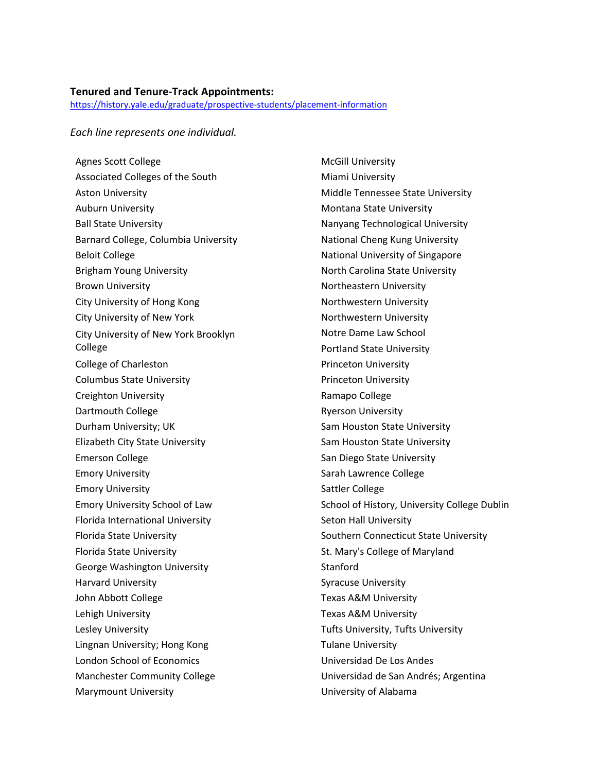## **Tenured and Tenure‐Track Appointments:**

https://history.yale.edu/graduate/prospective‐students/placement‐information

## *Each line represents one individual.*

Agnes Scott College Associated Colleges of the South Aston University Auburn University Ball State University Barnard College, Columbia University Beloit College Brigham Young University Brown University City University of Hong Kong City University of New York City University of New York Brooklyn College College of Charleston Columbus State University Creighton University Dartmouth College Durham University; UK Elizabeth City State University Emerson College Emory University Emory University Emory University School of Law Florida International University Florida State University Florida State University George Washington University Harvard University John Abbott College Lehigh University Lesley University Lingnan University; Hong Kong London School of Economics Manchester Community College Marymount University

McGill University Miami University Middle Tennessee State University Montana State University Nanyang Technological University National Cheng Kung University National University of Singapore North Carolina State University Northeastern University Northwestern University Northwestern University Notre Dame Law School Portland State University Princeton University Princeton University Ramapo College Ryerson University Sam Houston State University Sam Houston State University San Diego State University Sarah Lawrence College Sattler College School of History, University College Dublin Seton Hall University Southern Connecticut State University St. Mary's College of Maryland Stanford Syracuse University Texas A&M University Texas A&M University Tufts University, Tufts University Tulane University Universidad De Los Andes Universidad de San Andrés; Argentina University of Alabama